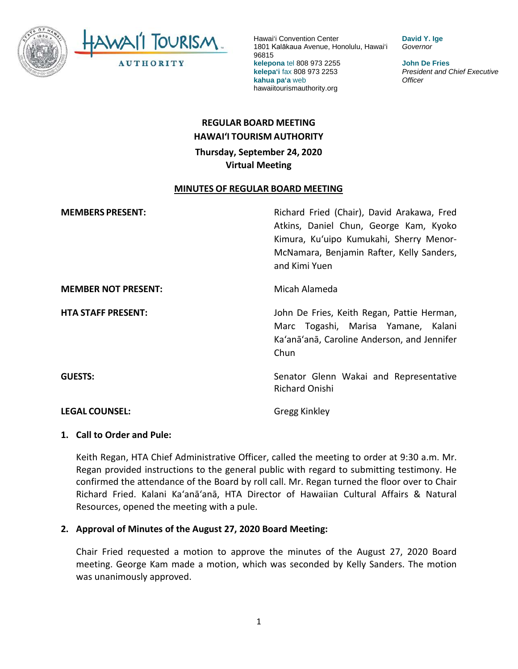

**David Y. Ige** *Governor*

**John De Fries** *President and Chief Executive Officer*

# **REGULAR BOARD MEETING HAWAI'I TOURISM AUTHORITY Thursday, September 24, 2020 Virtual Meeting**

#### **MINUTES OF REGULAR BOARD MEETING**

| <b>MEMBERS PRESENT:</b>    | Richard Fried (Chair), David Arakawa, Fred<br>Atkins, Daniel Chun, George Kam, Kyoko<br>Kimura, Ku'uipo Kumukahi, Sherry Menor-<br>McNamara, Benjamin Rafter, Kelly Sanders,<br>and Kimi Yuen |
|----------------------------|-----------------------------------------------------------------------------------------------------------------------------------------------------------------------------------------------|
| <b>MEMBER NOT PRESENT:</b> | Micah Alameda                                                                                                                                                                                 |
| <b>HTA STAFF PRESENT:</b>  | John De Fries, Keith Regan, Pattie Herman,<br>Marc Togashi, Marisa Yamane, Kalani<br>Ka'anā'anā, Caroline Anderson, and Jennifer<br>Chun                                                      |
| <b>GUESTS:</b>             | Senator Glenn Wakai and Representative<br>Richard Onishi                                                                                                                                      |
| <b>LEGAL COUNSEL:</b>      | <b>Gregg Kinkley</b>                                                                                                                                                                          |

#### **1. Call to Order and Pule:**

Keith Regan, HTA Chief Administrative Officer, called the meeting to order at 9:30 a.m. Mr. Regan provided instructions to the general public with regard to submitting testimony. He confirmed the attendance of the Board by roll call. Mr. Regan turned the floor over to Chair Richard Fried. Kalani Ka'anā'anā, HTA Director of Hawaiian Cultural Affairs & Natural Resources, opened the meeting with a pule.

#### **2. Approval of Minutes of the August 27, 2020 Board Meeting:**

Chair Fried requested a motion to approve the minutes of the August 27, 2020 Board meeting. George Kam made a motion, which was seconded by Kelly Sanders. The motion was unanimously approved.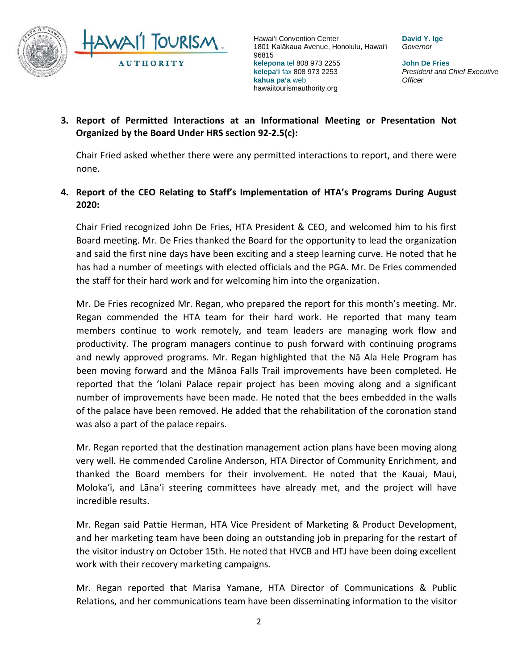

**David Y. Ige** *Governor*

**John De Fries** *President and Chief Executive Officer*

**3. Report of Permitted Interactions at an Informational Meeting or Presentation Not Organized by the Board Under HRS section 92-2.5(c):**

Chair Fried asked whether there were any permitted interactions to report, and there were none.

**4. Report of the CEO Relating to Staff's Implementation of HTA's Programs During August 2020:**

Chair Fried recognized John De Fries, HTA President & CEO, and welcomed him to his first Board meeting. Mr. De Fries thanked the Board for the opportunity to lead the organization and said the first nine days have been exciting and a steep learning curve. He noted that he has had a number of meetings with elected officials and the PGA. Mr. De Fries commended the staff for their hard work and for welcoming him into the organization.

Mr. De Fries recognized Mr. Regan, who prepared the report for this month's meeting. Mr. Regan commended the HTA team for their hard work. He reported that many team members continue to work remotely, and team leaders are managing work flow and productivity. The program managers continue to push forward with continuing programs and newly approved programs. Mr. Regan highlighted that the Nā Ala Hele Program has been moving forward and the Mānoa Falls Trail improvements have been completed. He reported that the 'Iolani Palace repair project has been moving along and a significant number of improvements have been made. He noted that the bees embedded in the walls of the palace have been removed. He added that the rehabilitation of the coronation stand was also a part of the palace repairs.

Mr. Regan reported that the destination management action plans have been moving along very well. He commended Caroline Anderson, HTA Director of Community Enrichment, and thanked the Board members for their involvement. He noted that the Kauai, Maui, Moloka'i, and Lāna'i steering committees have already met, and the project will have incredible results.

Mr. Regan said Pattie Herman, HTA Vice President of Marketing & Product Development, and her marketing team have been doing an outstanding job in preparing for the restart of the visitor industry on October 15th. He noted that HVCB and HTJ have been doing excellent work with their recovery marketing campaigns.

Mr. Regan reported that Marisa Yamane, HTA Director of Communications & Public Relations, and her communications team have been disseminating information to the visitor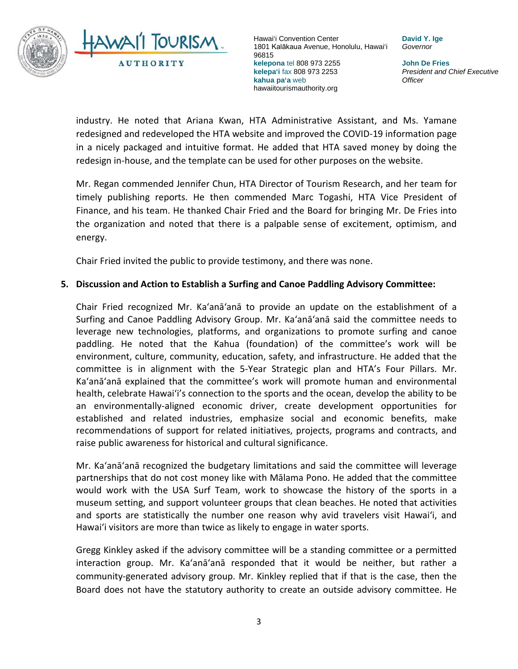

**David Y. Ige** *Governor*

**John De Fries** *President and Chief Executive Officer*

industry. He noted that Ariana Kwan, HTA Administrative Assistant, and Ms. Yamane redesigned and redeveloped the HTA website and improved the COVID-19 information page in a nicely packaged and intuitive format. He added that HTA saved money by doing the redesign in-house, and the template can be used for other purposes on the website.

Mr. Regan commended Jennifer Chun, HTA Director of Tourism Research, and her team for timely publishing reports. He then commended Marc Togashi, HTA Vice President of Finance, and his team. He thanked Chair Fried and the Board for bringing Mr. De Fries into the organization and noted that there is a palpable sense of excitement, optimism, and energy.

Chair Fried invited the public to provide testimony, and there was none.

#### **5. Discussion and Action to Establish a Surfing and Canoe Paddling Advisory Committee:**

Chair Fried recognized Mr. Ka'anā'anā to provide an update on the establishment of a Surfing and Canoe Paddling Advisory Group. Mr. Ka'anā'anā said the committee needs to leverage new technologies, platforms, and organizations to promote surfing and canoe paddling. He noted that the Kahua (foundation) of the committee's work will be environment, culture, community, education, safety, and infrastructure. He added that the committee is in alignment with the 5-Year Strategic plan and HTA's Four Pillars. Mr. Ka'anā'anā explained that the committee's work will promote human and environmental health, celebrate Hawai'i's connection to the sports and the ocean, develop the ability to be an environmentally-aligned economic driver, create development opportunities for established and related industries, emphasize social and economic benefits, make recommendations of support for related initiatives, projects, programs and contracts, and raise public awareness for historical and cultural significance.

Mr. Ka'anā'anā recognized the budgetary limitations and said the committee will leverage partnerships that do not cost money like with Mālama Pono. He added that the committee would work with the USA Surf Team, work to showcase the history of the sports in a museum setting, and support volunteer groups that clean beaches. He noted that activities and sports are statistically the number one reason why avid travelers visit Hawai'i, and Hawai'i visitors are more than twice as likely to engage in water sports.

Gregg Kinkley asked if the advisory committee will be a standing committee or a permitted interaction group. Mr. Ka'anā'anā responded that it would be neither, but rather a community-generated advisory group. Mr. Kinkley replied that if that is the case, then the Board does not have the statutory authority to create an outside advisory committee. He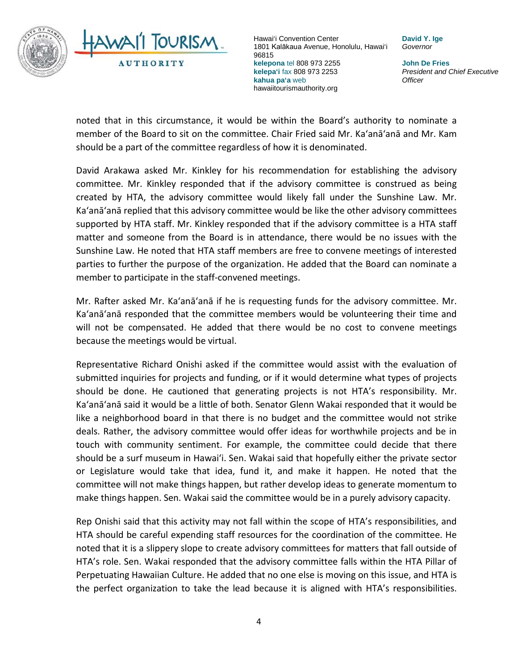

**David Y. Ige** *Governor*

**John De Fries** *President and Chief Executive Officer*

noted that in this circumstance, it would be within the Board's authority to nominate a member of the Board to sit on the committee. Chair Fried said Mr. Ka'anā'anā and Mr. Kam should be a part of the committee regardless of how it is denominated.

David Arakawa asked Mr. Kinkley for his recommendation for establishing the advisory committee. Mr. Kinkley responded that if the advisory committee is construed as being created by HTA, the advisory committee would likely fall under the Sunshine Law. Mr. Ka'anā'anā replied that this advisory committee would be like the other advisory committees supported by HTA staff. Mr. Kinkley responded that if the advisory committee is a HTA staff matter and someone from the Board is in attendance, there would be no issues with the Sunshine Law. He noted that HTA staff members are free to convene meetings of interested parties to further the purpose of the organization. He added that the Board can nominate a member to participate in the staff-convened meetings.

Mr. Rafter asked Mr. Ka'anā'anā if he is requesting funds for the advisory committee. Mr. Ka'anā'anā responded that the committee members would be volunteering their time and will not be compensated. He added that there would be no cost to convene meetings because the meetings would be virtual.

Representative Richard Onishi asked if the committee would assist with the evaluation of submitted inquiries for projects and funding, or if it would determine what types of projects should be done. He cautioned that generating projects is not HTA's responsibility. Mr. Ka'anā'anā said it would be a little of both. Senator Glenn Wakai responded that it would be like a neighborhood board in that there is no budget and the committee would not strike deals. Rather, the advisory committee would offer ideas for worthwhile projects and be in touch with community sentiment. For example, the committee could decide that there should be a surf museum in Hawai'i. Sen. Wakai said that hopefully either the private sector or Legislature would take that idea, fund it, and make it happen. He noted that the committee will not make things happen, but rather develop ideas to generate momentum to make things happen. Sen. Wakai said the committee would be in a purely advisory capacity.

Rep Onishi said that this activity may not fall within the scope of HTA's responsibilities, and HTA should be careful expending staff resources for the coordination of the committee. He noted that it is a slippery slope to create advisory committees for matters that fall outside of HTA's role. Sen. Wakai responded that the advisory committee falls within the HTA Pillar of Perpetuating Hawaiian Culture. He added that no one else is moving on this issue, and HTA is the perfect organization to take the lead because it is aligned with HTA's responsibilities.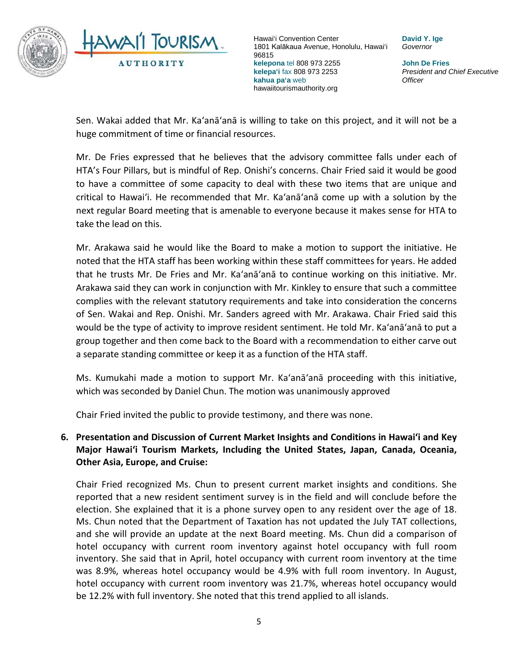

**David Y. Ige** *Governor*

**John De Fries** *President and Chief Executive Officer*

Sen. Wakai added that Mr. Ka'anā'anā is willing to take on this project, and it will not be a huge commitment of time or financial resources.

Mr. De Fries expressed that he believes that the advisory committee falls under each of HTA's Four Pillars, but is mindful of Rep. Onishi's concerns. Chair Fried said it would be good to have a committee of some capacity to deal with these two items that are unique and critical to Hawai'i. He recommended that Mr. Ka'anā'anā come up with a solution by the next regular Board meeting that is amenable to everyone because it makes sense for HTA to take the lead on this.

Mr. Arakawa said he would like the Board to make a motion to support the initiative. He noted that the HTA staff has been working within these staff committees for years. He added that he trusts Mr. De Fries and Mr. Ka'anā'anā to continue working on this initiative. Mr. Arakawa said they can work in conjunction with Mr. Kinkley to ensure that such a committee complies with the relevant statutory requirements and take into consideration the concerns of Sen. Wakai and Rep. Onishi. Mr. Sanders agreed with Mr. Arakawa. Chair Fried said this would be the type of activity to improve resident sentiment. He told Mr. Ka'anā'anā to put a group together and then come back to the Board with a recommendation to either carve out a separate standing committee or keep it as a function of the HTA staff.

Ms. Kumukahi made a motion to support Mr. Ka'anā'anā proceeding with this initiative, which was seconded by Daniel Chun. The motion was unanimously approved

Chair Fried invited the public to provide testimony, and there was none.

# **6. Presentation and Discussion of Current Market Insights and Conditions in Hawai'i and Key Major Hawai'i Tourism Markets, Including the United States, Japan, Canada, Oceania, Other Asia, Europe, and Cruise:**

Chair Fried recognized Ms. Chun to present current market insights and conditions. She reported that a new resident sentiment survey is in the field and will conclude before the election. She explained that it is a phone survey open to any resident over the age of 18. Ms. Chun noted that the Department of Taxation has not updated the July TAT collections, and she will provide an update at the next Board meeting. Ms. Chun did a comparison of hotel occupancy with current room inventory against hotel occupancy with full room inventory. She said that in April, hotel occupancy with current room inventory at the time was 8.9%, whereas hotel occupancy would be 4.9% with full room inventory. In August, hotel occupancy with current room inventory was 21.7%, whereas hotel occupancy would be 12.2% with full inventory. She noted that this trend applied to all islands.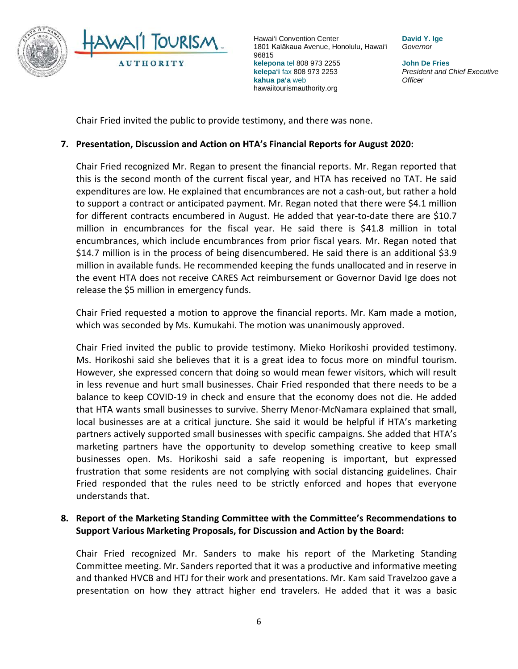

**David Y. Ige** *Governor*

**John De Fries** *President and Chief Executive Officer*

Chair Fried invited the public to provide testimony, and there was none.

#### **7. Presentation, Discussion and Action on HTA's Financial Reports for August 2020:**

Chair Fried recognized Mr. Regan to present the financial reports. Mr. Regan reported that this is the second month of the current fiscal year, and HTA has received no TAT. He said expenditures are low. He explained that encumbrances are not a cash-out, but rather a hold to support a contract or anticipated payment. Mr. Regan noted that there were \$4.1 million for different contracts encumbered in August. He added that year-to-date there are \$10.7 million in encumbrances for the fiscal year. He said there is \$41.8 million in total encumbrances, which include encumbrances from prior fiscal years. Mr. Regan noted that \$14.7 million is in the process of being disencumbered. He said there is an additional \$3.9 million in available funds. He recommended keeping the funds unallocated and in reserve in the event HTA does not receive CARES Act reimbursement or Governor David Ige does not release the \$5 million in emergency funds.

Chair Fried requested a motion to approve the financial reports. Mr. Kam made a motion, which was seconded by Ms. Kumukahi. The motion was unanimously approved.

Chair Fried invited the public to provide testimony. Mieko Horikoshi provided testimony. Ms. Horikoshi said she believes that it is a great idea to focus more on mindful tourism. However, she expressed concern that doing so would mean fewer visitors, which will result in less revenue and hurt small businesses. Chair Fried responded that there needs to be a balance to keep COVID-19 in check and ensure that the economy does not die. He added that HTA wants small businesses to survive. Sherry Menor-McNamara explained that small, local businesses are at a critical juncture. She said it would be helpful if HTA's marketing partners actively supported small businesses with specific campaigns. She added that HTA's marketing partners have the opportunity to develop something creative to keep small businesses open. Ms. Horikoshi said a safe reopening is important, but expressed frustration that some residents are not complying with social distancing guidelines. Chair Fried responded that the rules need to be strictly enforced and hopes that everyone understands that.

## **8. Report of the Marketing Standing Committee with the Committee's Recommendations to Support Various Marketing Proposals, for Discussion and Action by the Board:**

Chair Fried recognized Mr. Sanders to make his report of the Marketing Standing Committee meeting. Mr. Sanders reported that it was a productive and informative meeting and thanked HVCB and HTJ for their work and presentations. Mr. Kam said Travelzoo gave a presentation on how they attract higher end travelers. He added that it was a basic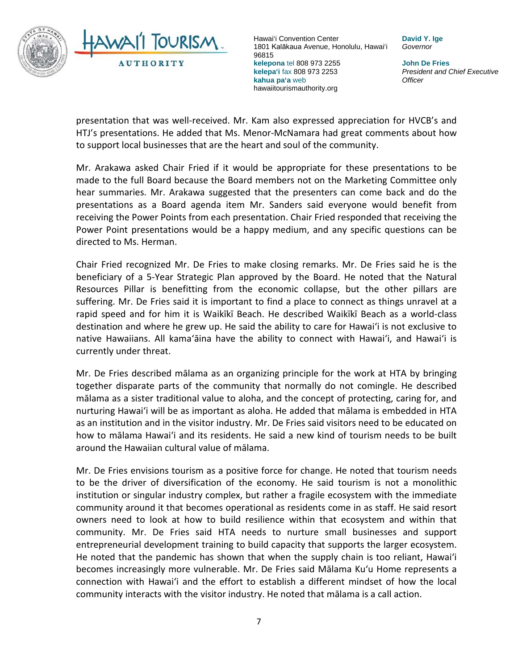

**David Y. Ige** *Governor*

**John De Fries** *President and Chief Executive Officer*

presentation that was well-received. Mr. Kam also expressed appreciation for HVCB's and HTJ's presentations. He added that Ms. Menor-McNamara had great comments about how to support local businesses that are the heart and soul of the community.

Mr. Arakawa asked Chair Fried if it would be appropriate for these presentations to be made to the full Board because the Board members not on the Marketing Committee only hear summaries. Mr. Arakawa suggested that the presenters can come back and do the presentations as a Board agenda item Mr. Sanders said everyone would benefit from receiving the Power Points from each presentation. Chair Fried responded that receiving the Power Point presentations would be a happy medium, and any specific questions can be directed to Ms. Herman.

Chair Fried recognized Mr. De Fries to make closing remarks. Mr. De Fries said he is the beneficiary of a 5-Year Strategic Plan approved by the Board. He noted that the Natural Resources Pillar is benefitting from the economic collapse, but the other pillars are suffering. Mr. De Fries said it is important to find a place to connect as things unravel at a rapid speed and for him it is Waikīkī Beach. He described Waikīkī Beach as a world-class destination and where he grew up. He said the ability to care for Hawai'i is not exclusive to native Hawaiians. All kamaʻāina have the ability to connect with Hawai'i, and Hawai'i is currently under threat.

Mr. De Fries described mālama as an organizing principle for the work at HTA by bringing together disparate parts of the community that normally do not comingle. He described mālama as a sister traditional value to aloha, and the concept of protecting, caring for, and nurturing Hawai'i will be as important as aloha. He added that mālama is embedded in HTA as an institution and in the visitor industry. Mr. De Fries said visitors need to be educated on how to mālama Hawai'i and its residents. He said a new kind of tourism needs to be built around the Hawaiian cultural value of mālama.

Mr. De Fries envisions tourism as a positive force for change. He noted that tourism needs to be the driver of diversification of the economy. He said tourism is not a monolithic institution or singular industry complex, but rather a fragile ecosystem with the immediate community around it that becomes operational as residents come in as staff. He said resort owners need to look at how to build resilience within that ecosystem and within that community. Mr. De Fries said HTA needs to nurture small businesses and support entrepreneurial development training to build capacity that supports the larger ecosystem. He noted that the pandemic has shown that when the supply chain is too reliant, Hawai'i becomes increasingly more vulnerable. Mr. De Fries said Mālama Ku'u Home represents a connection with Hawai'i and the effort to establish a different mindset of how the local community interacts with the visitor industry. He noted that mālama is a call action.